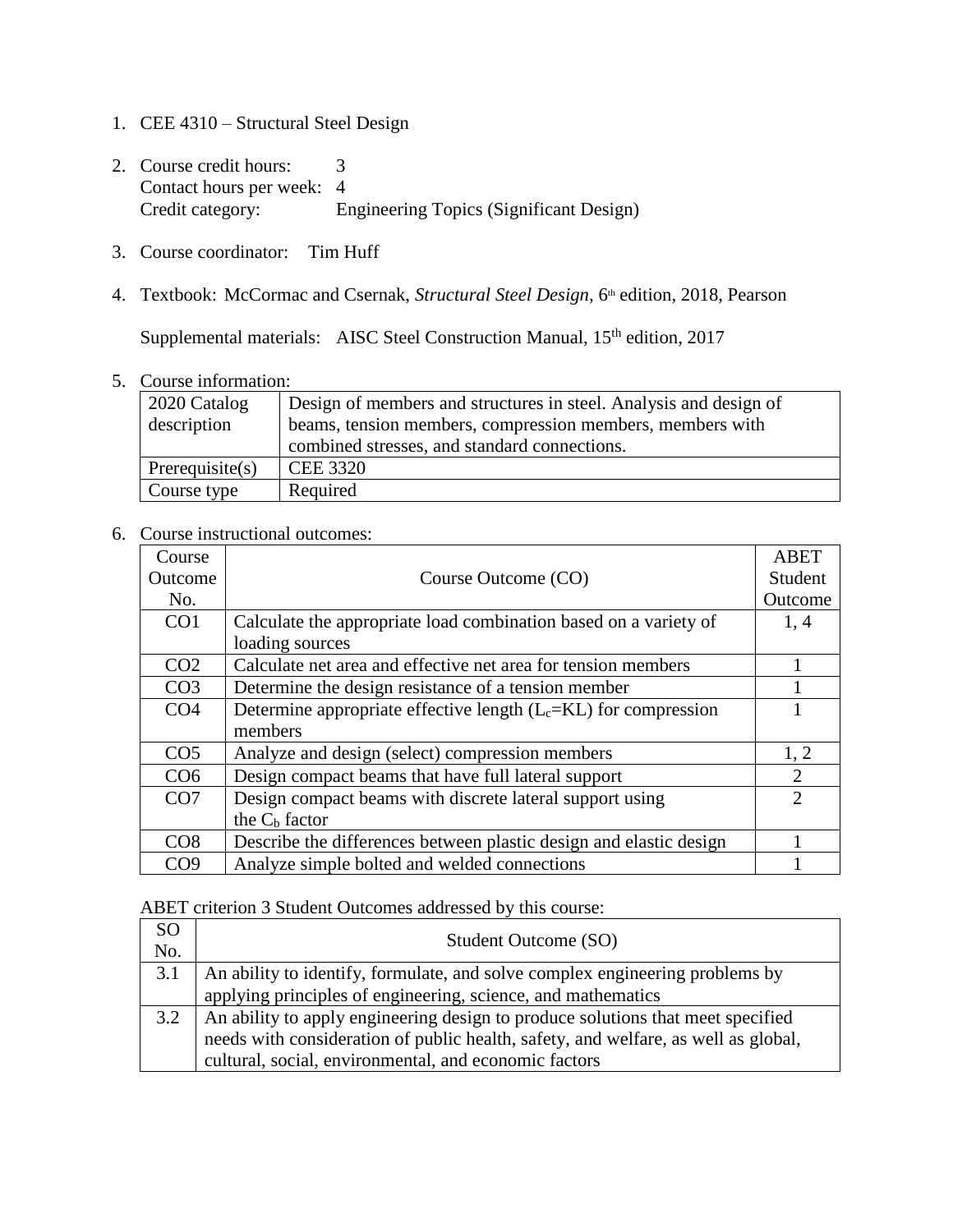- 1. CEE 4310 Structural Steel Design
- 2. Course credit hours: 3 Contact hours per week: 4<br>Credit category: E Engineering Topics (Significant Design)
- 3. Course coordinator: Tim Huff
- 4. Textbook: McCormac and Csernak, *Structural Steel Design*, 6<sup>th</sup> edition, 2018, Pearson

Supplemental materials: AISC Steel Construction Manual, 15<sup>th</sup> edition, 2017

5. Course information:

| 2020 Catalog<br>description | Design of members and structures in steel. Analysis and design of<br>beams, tension members, compression members, members with |
|-----------------------------|--------------------------------------------------------------------------------------------------------------------------------|
|                             | combined stresses, and standard connections.                                                                                   |
| Prerequisite(s)             | <b>CEE 3320</b>                                                                                                                |
| Course type                 | Required                                                                                                                       |

## 6. Course instructional outcomes:

| Course          |                                                                    | <b>ABET</b>                 |
|-----------------|--------------------------------------------------------------------|-----------------------------|
| Outcome         | Course Outcome (CO)                                                | Student                     |
| No.             |                                                                    | Outcome                     |
| CO1             | Calculate the appropriate load combination based on a variety of   | 1,4                         |
|                 | loading sources                                                    |                             |
| CO <sub>2</sub> | Calculate net area and effective net area for tension members      |                             |
| CO <sub>3</sub> | Determine the design resistance of a tension member                |                             |
| CO <sub>4</sub> | Determine appropriate effective length $(L_c=KL)$ for compression  |                             |
|                 | members                                                            |                             |
| CO <sub>5</sub> | Analyze and design (select) compression members                    | 1, 2                        |
| CO <sub>6</sub> | Design compact beams that have full lateral support                | $\overline{2}$              |
| CO7             | Design compact beams with discrete lateral support using           | $\mathcal{D}_{\mathcal{L}}$ |
|                 | the $C_b$ factor                                                   |                             |
| CO8             | Describe the differences between plastic design and elastic design |                             |
| CO <sub>9</sub> | Analyze simple bolted and welded connections                       |                             |

## ABET criterion 3 Student Outcomes addressed by this course:

| <sub>SO</sub><br>No. | Student Outcome (SO)                                                               |
|----------------------|------------------------------------------------------------------------------------|
| 3.1                  | An ability to identify, formulate, and solve complex engineering problems by       |
|                      | applying principles of engineering, science, and mathematics                       |
| 3.2                  | An ability to apply engineering design to produce solutions that meet specified    |
|                      | needs with consideration of public health, safety, and welfare, as well as global, |
|                      | cultural, social, environmental, and economic factors                              |